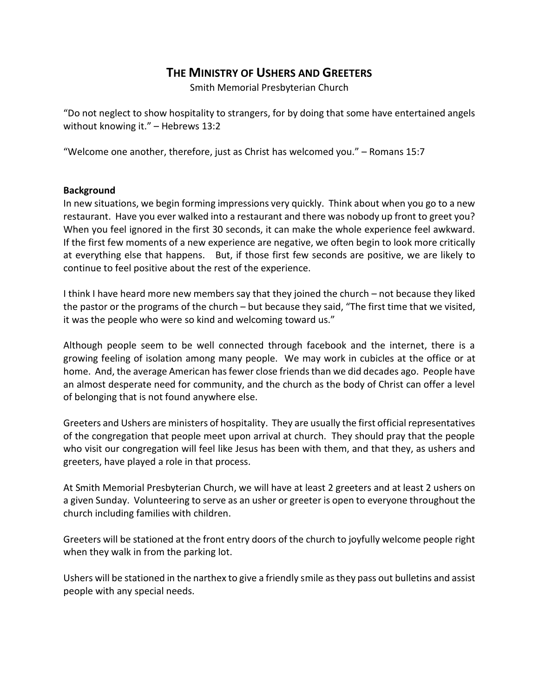# **THE MINISTRY OF USHERS AND GREETERS**

Smith Memorial Presbyterian Church

"Do not neglect to show hospitality to strangers, for by doing that some have entertained angels without knowing it." – Hebrews 13:2

"Welcome one another, therefore, just as Christ has welcomed you." – Romans 15:7

#### **Background**

In new situations, we begin forming impressions very quickly. Think about when you go to a new restaurant. Have you ever walked into a restaurant and there was nobody up front to greet you? When you feel ignored in the first 30 seconds, it can make the whole experience feel awkward. If the first few moments of a new experience are negative, we often begin to look more critically at everything else that happens. But, if those first few seconds are positive, we are likely to continue to feel positive about the rest of the experience.

I think I have heard more new members say that they joined the church – not because they liked the pastor or the programs of the church – but because they said, "The first time that we visited, it was the people who were so kind and welcoming toward us."

Although people seem to be well connected through facebook and the internet, there is a growing feeling of isolation among many people. We may work in cubicles at the office or at home. And, the average American has fewer close friends than we did decades ago. People have an almost desperate need for community, and the church as the body of Christ can offer a level of belonging that is not found anywhere else.

Greeters and Ushers are ministers of hospitality. They are usually the first official representatives of the congregation that people meet upon arrival at church. They should pray that the people who visit our congregation will feel like Jesus has been with them, and that they, as ushers and greeters, have played a role in that process.

At Smith Memorial Presbyterian Church, we will have at least 2 greeters and at least 2 ushers on a given Sunday. Volunteering to serve as an usher or greeter is open to everyone throughout the church including families with children.

Greeters will be stationed at the front entry doors of the church to joyfully welcome people right when they walk in from the parking lot.

Ushers will be stationed in the narthex to give a friendly smile as they pass out bulletins and assist people with any special needs.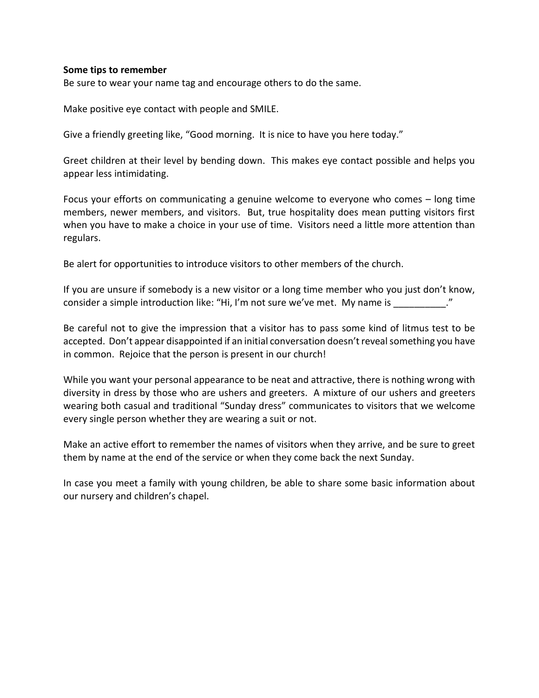#### **Some tips to remember**

Be sure to wear your name tag and encourage others to do the same.

Make positive eye contact with people and SMILE.

Give a friendly greeting like, "Good morning. It is nice to have you here today."

Greet children at their level by bending down. This makes eye contact possible and helps you appear less intimidating.

Focus your efforts on communicating a genuine welcome to everyone who comes – long time members, newer members, and visitors. But, true hospitality does mean putting visitors first when you have to make a choice in your use of time. Visitors need a little more attention than regulars.

Be alert for opportunities to introduce visitors to other members of the church.

If you are unsure if somebody is a new visitor or a long time member who you just don't know, consider a simple introduction like: "Hi, I'm not sure we've met. My name is  $\cdot$ "

Be careful not to give the impression that a visitor has to pass some kind of litmus test to be accepted. Don't appear disappointed if an initial conversation doesn't reveal something you have in common. Rejoice that the person is present in our church!

While you want your personal appearance to be neat and attractive, there is nothing wrong with diversity in dress by those who are ushers and greeters. A mixture of our ushers and greeters wearing both casual and traditional "Sunday dress" communicates to visitors that we welcome every single person whether they are wearing a suit or not.

Make an active effort to remember the names of visitors when they arrive, and be sure to greet them by name at the end of the service or when they come back the next Sunday.

In case you meet a family with young children, be able to share some basic information about our nursery and children's chapel.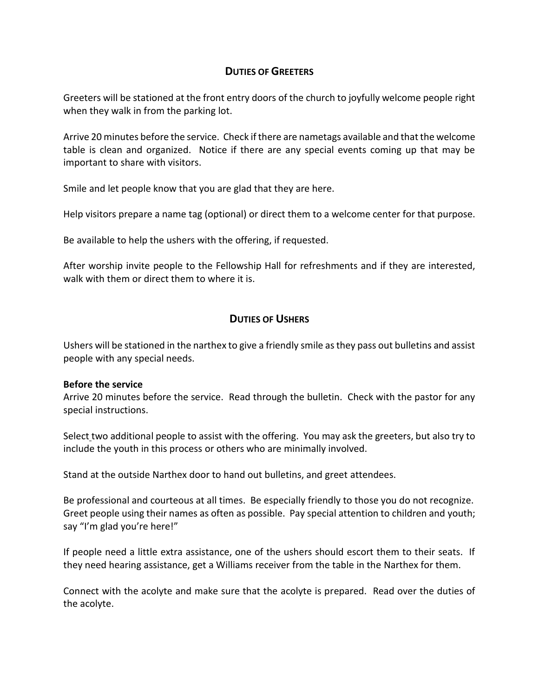## **DUTIES OF GREETERS**

Greeters will be stationed at the front entry doors of the church to joyfully welcome people right when they walk in from the parking lot.

Arrive 20 minutes before the service. Check if there are nametags available and that the welcome table is clean and organized. Notice if there are any special events coming up that may be important to share with visitors.

Smile and let people know that you are glad that they are here.

Help visitors prepare a name tag (optional) or direct them to a welcome center for that purpose.

Be available to help the ushers with the offering, if requested.

After worship invite people to the Fellowship Hall for refreshments and if they are interested, walk with them or direct them to where it is.

### **DUTIES OF USHERS**

Ushers will be stationed in the narthex to give a friendly smile as they pass out bulletins and assist people with any special needs.

### **Before the service**

Arrive 20 minutes before the service. Read through the bulletin. Check with the pastor for any special instructions.

Select two additional people to assist with the offering. You may ask the greeters, but also try to include the youth in this process or others who are minimally involved.

Stand at the outside Narthex door to hand out bulletins, and greet attendees.

Be professional and courteous at all times. Be especially friendly to those you do not recognize. Greet people using their names as often as possible. Pay special attention to children and youth; say "I'm glad you're here!"

If people need a little extra assistance, one of the ushers should escort them to their seats. If they need hearing assistance, get a Williams receiver from the table in the Narthex for them.

Connect with the acolyte and make sure that the acolyte is prepared. Read over the duties of the acolyte.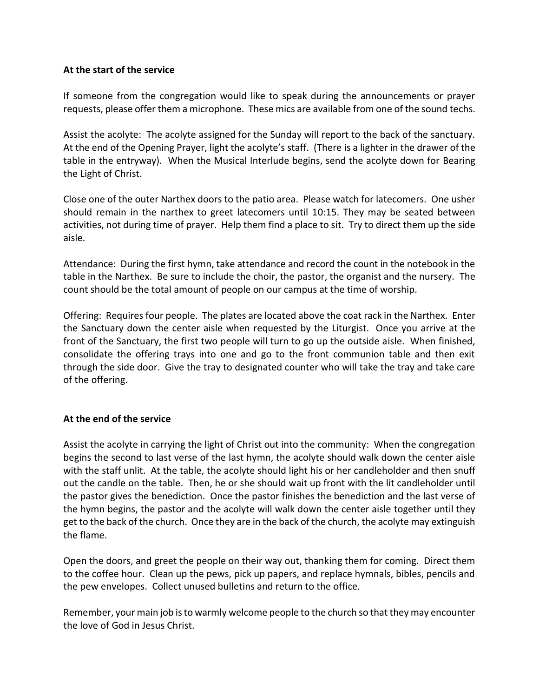### **At the start of the service**

If someone from the congregation would like to speak during the announcements or prayer requests, please offer them a microphone. These mics are available from one of the sound techs.

Assist the acolyte: The acolyte assigned for the Sunday will report to the back of the sanctuary. At the end of the Opening Prayer, light the acolyte's staff. (There is a lighter in the drawer of the table in the entryway). When the Musical Interlude begins, send the acolyte down for Bearing the Light of Christ.

Close one of the outer Narthex doors to the patio area. Please watch for latecomers. One usher should remain in the narthex to greet latecomers until 10:15. They may be seated between activities, not during time of prayer. Help them find a place to sit. Try to direct them up the side aisle.

Attendance: During the first hymn, take attendance and record the count in the notebook in the table in the Narthex. Be sure to include the choir, the pastor, the organist and the nursery. The count should be the total amount of people on our campus at the time of worship.

Offering: Requires four people. The plates are located above the coat rack in the Narthex. Enter the Sanctuary down the center aisle when requested by the Liturgist. Once you arrive at the front of the Sanctuary, the first two people will turn to go up the outside aisle. When finished, consolidate the offering trays into one and go to the front communion table and then exit through the side door. Give the tray to designated counter who will take the tray and take care of the offering.

### **At the end of the service**

Assist the acolyte in carrying the light of Christ out into the community: When the congregation begins the second to last verse of the last hymn, the acolyte should walk down the center aisle with the staff unlit. At the table, the acolyte should light his or her candleholder and then snuff out the candle on the table. Then, he or she should wait up front with the lit candleholder until the pastor gives the benediction. Once the pastor finishes the benediction and the last verse of the hymn begins, the pastor and the acolyte will walk down the center aisle together until they get to the back of the church. Once they are in the back of the church, the acolyte may extinguish the flame.

Open the doors, and greet the people on their way out, thanking them for coming. Direct them to the coffee hour. Clean up the pews, pick up papers, and replace hymnals, bibles, pencils and the pew envelopes. Collect unused bulletins and return to the office.

Remember, your main job is to warmly welcome people to the church so that they may encounter the love of God in Jesus Christ.